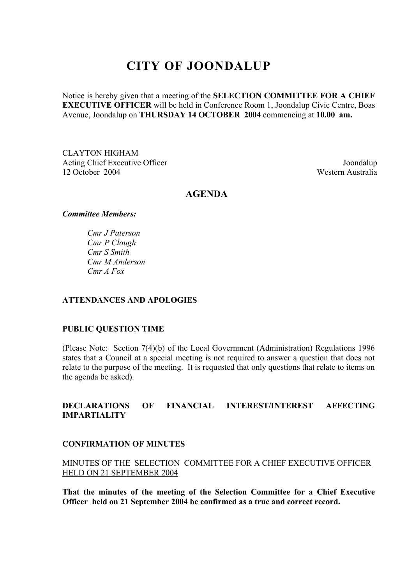# **CITY OF JOONDALUP**

Notice is hereby given that a meeting of the **SELECTION COMMITTEE FOR A CHIEF EXECUTIVE OFFICER** will be held in Conference Room 1, Joondalup Civic Centre, Boas Avenue, Joondalup on **THURSDAY 14 OCTOBER 2004** commencing at **10.00 am.** 

CLAYTON HIGHAM Acting Chief Executive Officer Joondalup 12 October 2004 Western Australia

### **AGENDA**

#### *Committee Members:*

*Cmr J Paterson Cmr P Clough Cmr S Smith Cmr M Anderson Cmr A Fox* 

### **ATTENDANCES AND APOLOGIES**

#### **PUBLIC QUESTION TIME**

(Please Note: Section 7(4)(b) of the Local Government (Administration) Regulations 1996 states that a Council at a special meeting is not required to answer a question that does not relate to the purpose of the meeting. It is requested that only questions that relate to items on the agenda be asked).

#### **DECLARATIONS OF FINANCIAL INTEREST/INTEREST AFFECTING IMPARTIALITY**

#### **CONFIRMATION OF MINUTES**

MINUTES OF THE SELECTION COMMITTEE FOR A CHIEF EXECUTIVE OFFICER HELD ON 21 SEPTEMBER 2004

**That the minutes of the meeting of the Selection Committee for a Chief Executive Officer held on 21 September 2004 be confirmed as a true and correct record.**